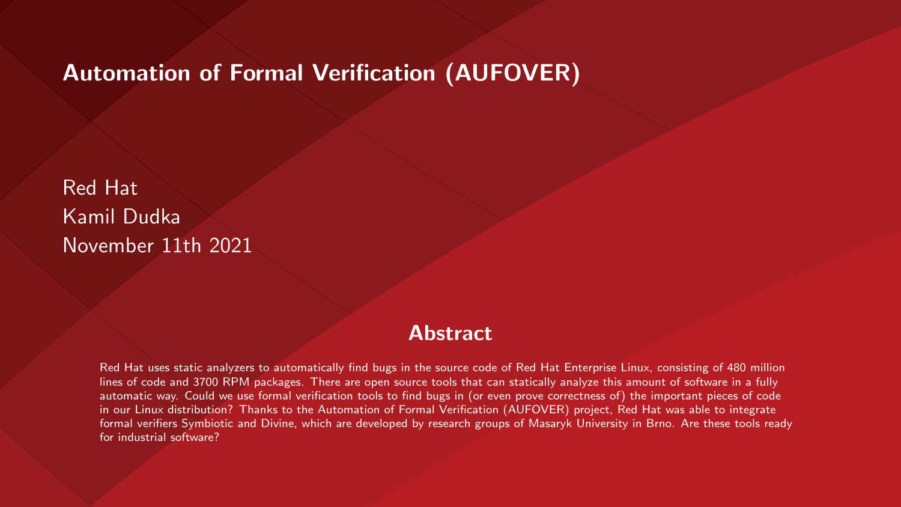#### Automation of Formal Verification (AUFOVER)

Red Hat Kamil Dudka November 11th 2021

#### **Abstract**

Red Hat uses static analyzers to automatically find bugs in the source code of Red Hat Enterprise Linux, consisting of 480 million lines of code and 3700 RPM packages. There are open source tools that can statically analyze this amount of software in a fully automatic way. Could we use formal verification tools to find bugs in (or even prove correctness of) the important pieces of code in our Linux distribution? Thanks to the Automation of Formal Verification (AUFOVER) project, Red Hat was able to integrate formal verifiers Symbiotic and Divine, which are developed by research groups of Masaryk University in Brno. Are these tools ready for industrial software?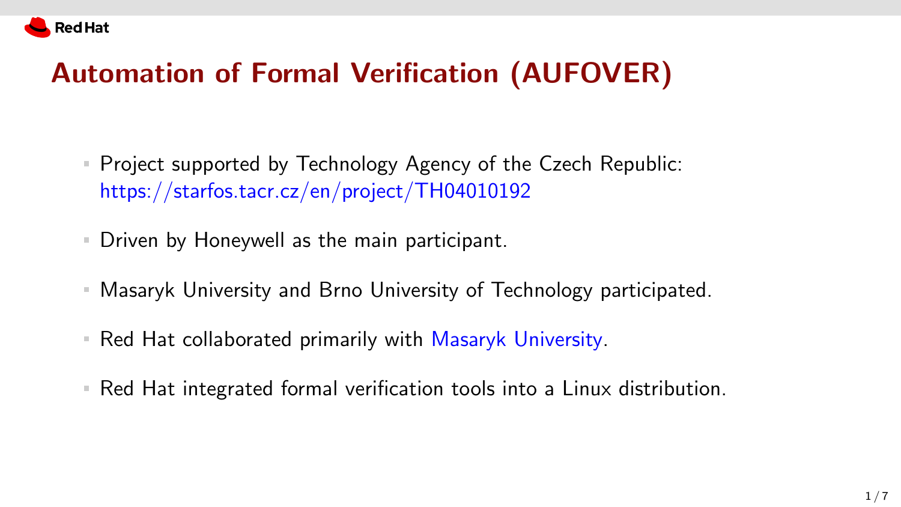

# Automation of Formal Verification (AUFOVER)

- Project supported by Technology Agency of the Czech Republic: <https://starfos.tacr.cz/en/project/TH04010192>
- Driven by Honeywell as the main participant.
- Masaryk University and Brno University of Technology participated.
- Red Hat collaborated primarily with Masaryk University.
- Red Hat integrated formal verification tools into a Linux distribution.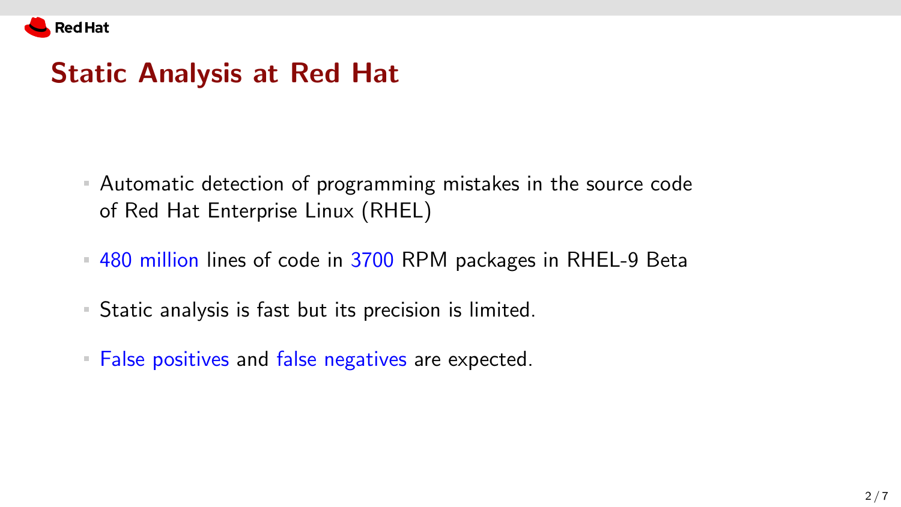

#### Static Analysis at Red Hat

- Automatic detection of programming mistakes in the source code of Red Hat Enterprise Linux (RHEL)
- 480 million lines of code in 3700 RPM packages in RHEL-9 Beta
- Static analysis is fast but its precision is limited.
- **False positives and false negatives are expected.**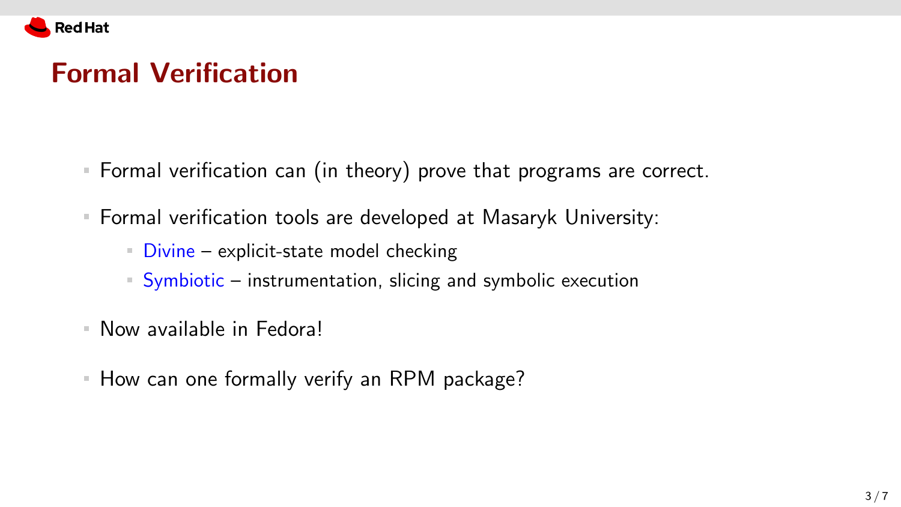

#### Formal Verification

- Formal verification can (in theory) prove that programs are correct.
- Formal verification tools are developed at Masaryk University:
	- Divine explicit-state model checking
	- Symbiotic instrumentation, slicing and symbolic execution
- Now available in Fedora!
- **How can one formally verify an RPM package?**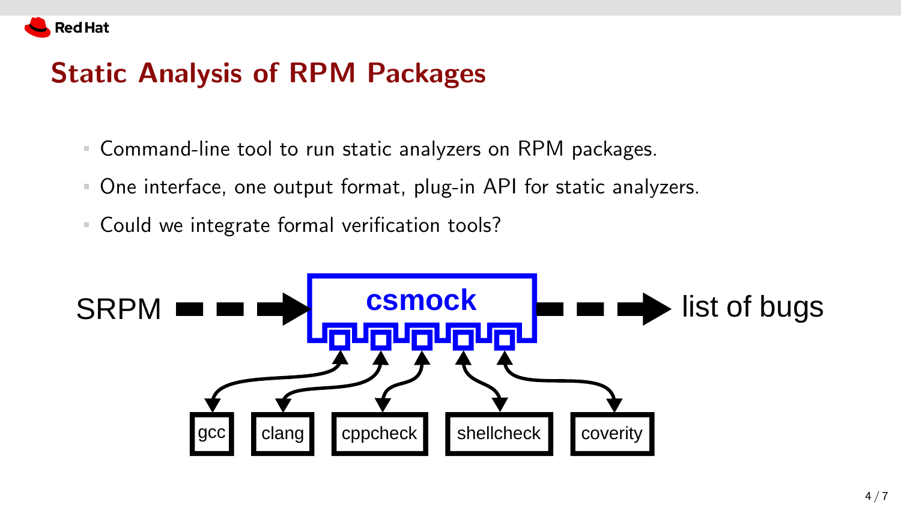

## Static Analysis of RPM Packages

- Command-line tool to run static analyzers on RPM packages.
- One interface, one output format, plug-in API for static analyzers.
- Could we integrate formal verification tools?

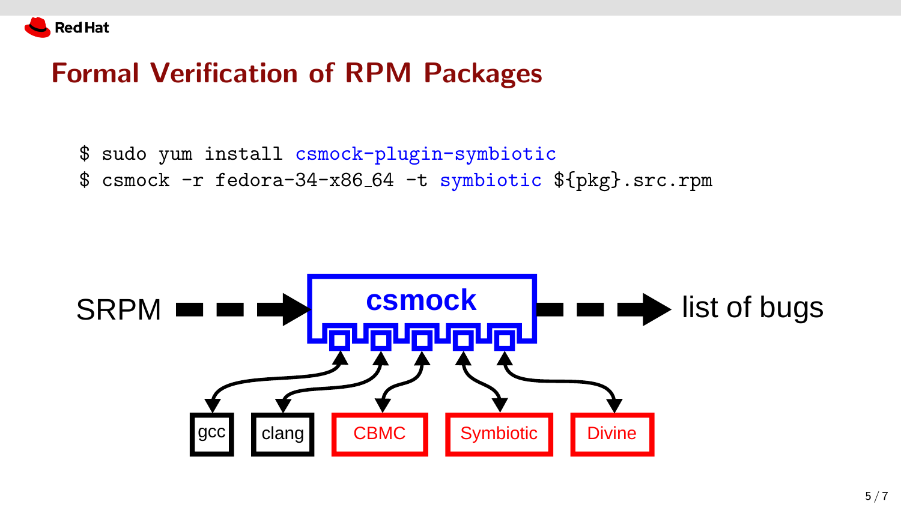

### Formal Verification of RPM Packages

- \$ sudo yum install csmock-plugin-symbiotic
- \$ csmock -r fedora-34-x86 64 -t symbiotic \${pkg}.src.rpm

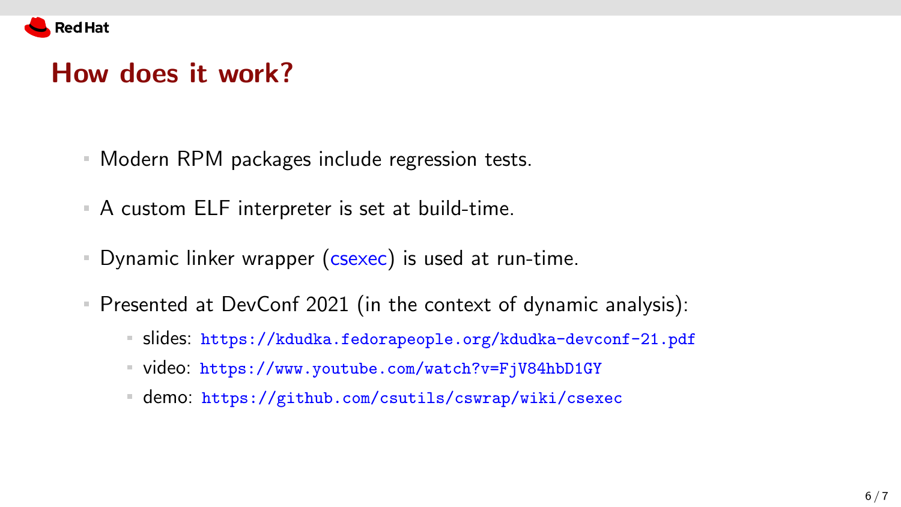

#### How does it work?

- Modern RPM packages include regression tests.
- A custom ELF interpreter is set at build-time.
- Dynamic linker wrapper (csexec) is used at run-time.
- Presented at DevConf 2021 (in the context of dynamic analysis):
	- slides: <https://kdudka.fedorapeople.org/kdudka-devconf-21.pdf> m,
	- video: <https://www.youtube.com/watch?v=FjV84hbD1GY>
	- demo: <https://github.com/csutils/cswrap/wiki/csexec>